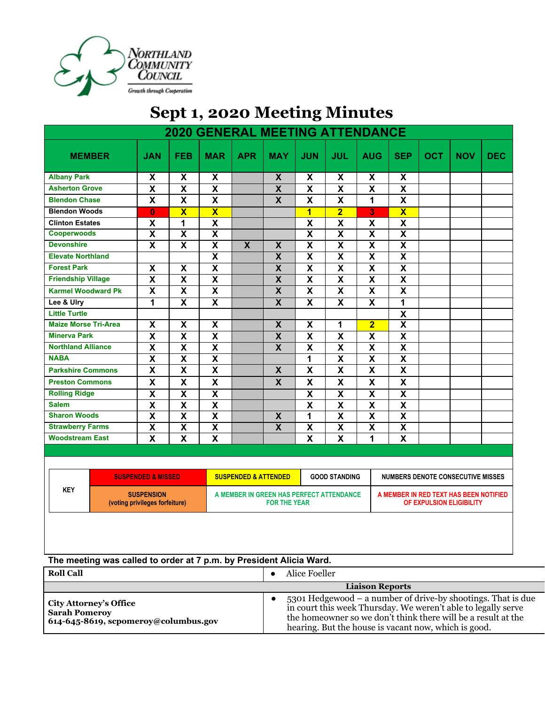

## **Sept 1, 2020 Meeting Minutes**

| <b>2020 GENERAL MEETING ATTENDANCE</b>                              |                                                     |                           |                         |                                                                 |                         |                           |                           |                           |                                                                    |            |            |            |
|---------------------------------------------------------------------|-----------------------------------------------------|---------------------------|-------------------------|-----------------------------------------------------------------|-------------------------|---------------------------|---------------------------|---------------------------|--------------------------------------------------------------------|------------|------------|------------|
| <b>MEMBER</b>                                                       | <b>JAN</b>                                          | <b>FEB</b>                | <b>MAR</b>              | <b>APR</b>                                                      | <b>MAY</b>              | <b>JUN</b>                | <b>JUL</b>                | <b>AUG</b>                | <b>SEP</b>                                                         | <b>OCT</b> | <b>NOV</b> | <b>DEC</b> |
| <b>Albany Park</b>                                                  | X                                                   | X                         | X                       |                                                                 | $\boldsymbol{X}$        | X                         | X                         | X                         | X                                                                  |            |            |            |
| <b>Asherton Grove</b>                                               | $\overline{\textbf{x}}$                             | $\overline{\mathbf{x}}$   | $\overline{\mathbf{X}}$ |                                                                 | $\overline{\mathbf{X}}$ | $\overline{\mathbf{x}}$   | $\overline{\mathbf{X}}$   | $\overline{\textbf{x}}$   | $\overline{\mathbf{X}}$                                            |            |            |            |
| <b>Blendon Chase</b>                                                | X                                                   | $\mathsf{X}$              | $\overline{\mathbf{x}}$ |                                                                 | $\overline{\mathbf{x}}$ | $\mathsf{x}$              | $\mathsf{X}$              | 1                         | $\boldsymbol{\mathsf{x}}$                                          |            |            |            |
| <b>Blendon Woods</b>                                                | $\bf{0}$                                            | $\overline{\mathbf{X}}$   | $\overline{\mathbf{X}}$ |                                                                 |                         | $\overline{1}$            | $\overline{\mathbf{2}}$   | $\overline{\mathbf{3}}$   | $\overline{\mathbf{x}}$                                            |            |            |            |
| <b>Clinton Estates</b>                                              | X                                                   | 1                         | $\overline{\mathbf{X}}$ |                                                                 |                         | $\boldsymbol{\mathsf{X}}$ | $\pmb{\mathsf{X}}$        | $\boldsymbol{\mathsf{X}}$ | $\pmb{\mathsf{X}}$                                                 |            |            |            |
| <b>Cooperwoods</b>                                                  | $\overline{\mathbf{X}}$                             | $\overline{\mathbf{X}}$   | $\overline{\mathbf{X}}$ |                                                                 |                         | $\overline{\mathbf{x}}$   | $\overline{\mathbf{X}}$   | $\overline{\mathbf{X}}$   | $\overline{\mathbf{x}}$                                            |            |            |            |
| <b>Devonshire</b>                                                   | $\overline{\mathbf{X}}$                             | $\overline{\mathbf{x}}$   | $\overline{\mathbf{X}}$ | $\overline{\mathbf{X}}$                                         | $\overline{\mathbf{X}}$ | $\overline{\mathbf{x}}$   | $\overline{\mathbf{X}}$   | $\overline{\mathbf{x}}$   | $\overline{\mathbf{X}}$                                            |            |            |            |
| <b>Elevate Northland</b>                                            |                                                     |                           | $\overline{\mathbf{x}}$ |                                                                 | $\boldsymbol{X}$        | X                         | $\overline{\mathbf{X}}$   | $\overline{\mathbf{x}}$   | $\overline{\mathbf{x}}$                                            |            |            |            |
| <b>Forest Park</b>                                                  | $\pmb{\mathsf{X}}$                                  | $\boldsymbol{\mathsf{x}}$ | $\overline{\mathbf{x}}$ |                                                                 | $\overline{\mathbf{X}}$ | $\overline{\mathbf{x}}$   | $\overline{\mathbf{X}}$   | $\overline{\mathbf{x}}$   | $\overline{\mathbf{x}}$                                            |            |            |            |
| <b>Friendship Village</b>                                           | $\overline{\mathbf{X}}$                             | $\overline{\mathbf{x}}$   | $\overline{\mathbf{x}}$ |                                                                 | $\overline{\mathbf{X}}$ | $\overline{\mathbf{x}}$   | $\overline{\mathbf{X}}$   | $\overline{\mathbf{X}}$   | $\overline{\mathbf{X}}$                                            |            |            |            |
| <b>Karmel Woodward Pk</b>                                           | $\overline{\mathsf{x}}$                             | $\overline{\mathsf{x}}$   | $\overline{\mathsf{x}}$ |                                                                 | $\overline{\mathbf{X}}$ | $\overline{\mathbf{x}}$   | $\overline{\mathsf{x}}$   | $\overline{\mathbf{x}}$   | $\overline{\mathsf{x}}$                                            |            |            |            |
| Lee & Ulry                                                          | $\overline{\mathbf{1}}$                             | $\overline{\mathbf{x}}$   | $\overline{\mathbf{x}}$ |                                                                 | $\overline{\mathbf{x}}$ | $\overline{\mathbf{x}}$   | $\overline{\mathbf{x}}$   | $\overline{\mathbf{x}}$   | 1                                                                  |            |            |            |
| <b>Little Turtle</b>                                                |                                                     |                           |                         |                                                                 |                         |                           |                           |                           | $\boldsymbol{\mathsf{x}}$                                          |            |            |            |
| <b>Maize Morse Tri-Area</b>                                         | $\overline{\mathbf{X}}$                             | $\overline{\mathbf{X}}$   | $\overline{\mathbf{X}}$ |                                                                 | $\overline{\mathbf{X}}$ | $\boldsymbol{\mathsf{X}}$ | 1                         | $\overline{\mathbf{2}}$   | $\overline{\mathbf{x}}$                                            |            |            |            |
| <b>Minerva Park</b>                                                 | $\overline{\mathbf{x}}$                             | $\overline{\mathbf{x}}$   | $\overline{\mathbf{x}}$ |                                                                 | $\overline{\mathbf{X}}$ | $\overline{\mathbf{x}}$   | $\overline{\mathbf{x}}$   | X                         | $\overline{\mathbf{x}}$                                            |            |            |            |
| <b>Northland Alliance</b>                                           | X                                                   | $\pmb{\mathsf{X}}$        | $\overline{\mathbf{X}}$ |                                                                 | $\overline{\mathbf{X}}$ | $\pmb{\mathsf{X}}$        | $\pmb{\mathsf{X}}$        | $\pmb{\mathsf{X}}$        | $\overline{\mathbf{x}}$                                            |            |            |            |
| <b>NABA</b>                                                         | $\overline{\mathbf{x}}$                             | $\overline{\mathbf{x}}$   | $\overline{\mathbf{X}}$ |                                                                 |                         | 1                         | $\overline{\mathbf{X}}$   | $\overline{\mathbf{x}}$   | $\overline{\mathbf{x}}$                                            |            |            |            |
| <b>Parkshire Commons</b>                                            | $\overline{\mathbf{X}}$                             | $\boldsymbol{\mathsf{X}}$ | $\overline{\mathbf{X}}$ |                                                                 | $\pmb{\mathsf{X}}$      | $\boldsymbol{\mathsf{X}}$ | $\boldsymbol{\mathsf{X}}$ | $\mathsf{X}$              | $\mathsf{X}$                                                       |            |            |            |
| <b>Preston Commons</b>                                              | X                                                   | $\boldsymbol{\mathsf{X}}$ | $\overline{\mathbf{x}}$ |                                                                 | $\mathsf{x}$            | $\mathsf{\overline{X}}$   | $\mathsf{X}$              | $\mathsf{X}$              | $\boldsymbol{\mathsf{x}}$                                          |            |            |            |
| <b>Rolling Ridge</b>                                                | $\overline{\textbf{x}}$                             | $\overline{\mathbf{x}}$   | $\overline{\mathbf{X}}$ |                                                                 |                         | $\overline{\mathbf{X}}$   | $\overline{\mathbf{X}}$   | $\overline{\mathbf{X}}$   | $\overline{\mathbf{x}}$                                            |            |            |            |
| <b>Salem</b>                                                        | $\overline{\mathbf{X}}$                             | $\pmb{\mathsf{X}}$        | $\overline{\mathbf{X}}$ |                                                                 |                         | $\boldsymbol{\mathsf{X}}$ | $\overline{\mathbf{X}}$   | $\pmb{\mathsf{X}}$        | $\overline{\mathbf{x}}$                                            |            |            |            |
| <b>Sharon Woods</b>                                                 | $\overline{\mathsf{x}}$                             | $\overline{\mathbf{X}}$   | $\overline{\mathbf{x}}$ |                                                                 | $\overline{\mathbf{x}}$ | $\overline{1}$            | $\overline{\mathbf{X}}$   | $\overline{\mathbf{X}}$   | $\overline{\mathbf{X}}$                                            |            |            |            |
| <b>Strawberry Farms</b>                                             | $\overline{\mathbf{X}}$                             | $\overline{\mathbf{X}}$   | $\overline{\mathbf{X}}$ |                                                                 | $\overline{\mathbf{X}}$ | $\overline{\mathbf{X}}$   | $\overline{\mathbf{X}}$   | $\overline{\mathbf{X}}$   | $\overline{\mathbf{x}}$                                            |            |            |            |
| <b>Woodstream East</b>                                              | X                                                   | X                         | $\overline{\mathbf{x}}$ |                                                                 |                         | $\mathsf{\overline{X}}$   | $\mathbf{x}$              | 1                         | $\boldsymbol{\mathsf{x}}$                                          |            |            |            |
|                                                                     |                                                     |                           |                         |                                                                 |                         |                           |                           |                           |                                                                    |            |            |            |
|                                                                     | <b>SUSPENDED &amp; MISSED</b>                       |                           |                         | <b>SUSPENDED &amp; ATTENDED</b>                                 |                         |                           | <b>GOOD STANDING</b>      |                           | <b>NUMBERS DENOTE CONSECUTIVE MISSES</b>                           |            |            |            |
| <b>KEY</b>                                                          | <b>SUSPENSION</b><br>(voting privileges forfeiture) |                           |                         | A MEMBER IN GREEN HAS PERFECT ATTENDANCE<br><b>FOR THE YEAR</b> |                         |                           |                           |                           | A MEMBER IN RED TEXT HAS BEEN NOTIFIED<br>OF EXPULSION ELIGIBILITY |            |            |            |
| The meeting was called to order at 7 p.m. by President Alicia Ward. |                                                     |                           |                         |                                                                 |                         |                           |                           |                           |                                                                    |            |            |            |

| <b>Roll Call</b>                                                                              | Alice Foeller                                                                                                                                                                                                                                          |
|-----------------------------------------------------------------------------------------------|--------------------------------------------------------------------------------------------------------------------------------------------------------------------------------------------------------------------------------------------------------|
|                                                                                               | <b>Liaison Reports</b>                                                                                                                                                                                                                                 |
| <b>City Attorney's Office</b><br><b>Sarah Pomeroy</b><br>614-645-8619, scpomeroy@columbus.gov | 5301 Hedgewood – a number of drive-by shootings. That is due<br>in court this week Thursday. We weren't able to legally serve<br>the homeowner so we don't think there will be a result at the<br>hearing. But the house is vacant now, which is good. |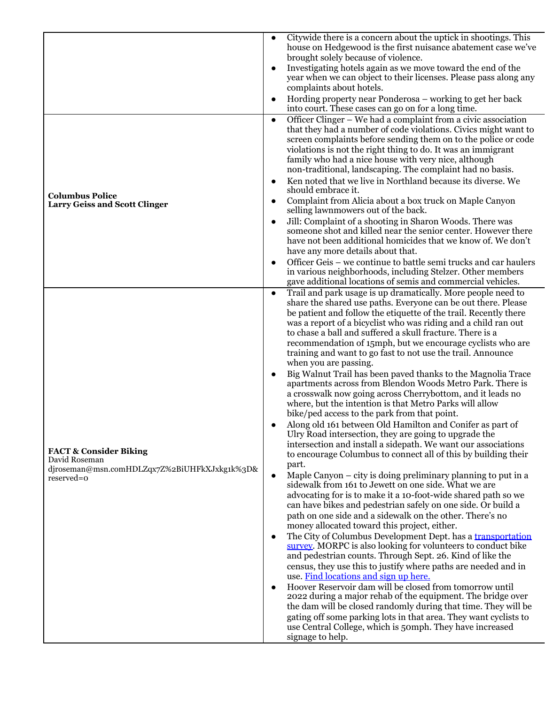|                                                                                                                  | Citywide there is a concern about the uptick in shootings. This<br>house on Hedgewood is the first nuisance abatement case we've                                                                                                                                                                                                                                                                                                                                                                                                                                                                                                                                                                                                                                                                                                                                                                                                                                                                                                                                                                                                                                                                                                                                                                                                                                                                                                                                                                                                                                                                                                                                                                                                                                                                                                                                                                                                                                                                                                                                                                         |
|------------------------------------------------------------------------------------------------------------------|----------------------------------------------------------------------------------------------------------------------------------------------------------------------------------------------------------------------------------------------------------------------------------------------------------------------------------------------------------------------------------------------------------------------------------------------------------------------------------------------------------------------------------------------------------------------------------------------------------------------------------------------------------------------------------------------------------------------------------------------------------------------------------------------------------------------------------------------------------------------------------------------------------------------------------------------------------------------------------------------------------------------------------------------------------------------------------------------------------------------------------------------------------------------------------------------------------------------------------------------------------------------------------------------------------------------------------------------------------------------------------------------------------------------------------------------------------------------------------------------------------------------------------------------------------------------------------------------------------------------------------------------------------------------------------------------------------------------------------------------------------------------------------------------------------------------------------------------------------------------------------------------------------------------------------------------------------------------------------------------------------------------------------------------------------------------------------------------------------|
|                                                                                                                  | brought solely because of violence.                                                                                                                                                                                                                                                                                                                                                                                                                                                                                                                                                                                                                                                                                                                                                                                                                                                                                                                                                                                                                                                                                                                                                                                                                                                                                                                                                                                                                                                                                                                                                                                                                                                                                                                                                                                                                                                                                                                                                                                                                                                                      |
|                                                                                                                  | Investigating hotels again as we move toward the end of the<br>year when we can object to their licenses. Please pass along any<br>complaints about hotels.                                                                                                                                                                                                                                                                                                                                                                                                                                                                                                                                                                                                                                                                                                                                                                                                                                                                                                                                                                                                                                                                                                                                                                                                                                                                                                                                                                                                                                                                                                                                                                                                                                                                                                                                                                                                                                                                                                                                              |
|                                                                                                                  | Hording property near Ponderosa – working to get her back<br>into court. These cases can go on for a long time.                                                                                                                                                                                                                                                                                                                                                                                                                                                                                                                                                                                                                                                                                                                                                                                                                                                                                                                                                                                                                                                                                                                                                                                                                                                                                                                                                                                                                                                                                                                                                                                                                                                                                                                                                                                                                                                                                                                                                                                          |
|                                                                                                                  | Officer Clinger – We had a complaint from a civic association<br>$\bullet$<br>that they had a number of code violations. Civics might want to<br>screen complaints before sending them on to the police or code<br>violations is not the right thing to do. It was an immigrant<br>family who had a nice house with very nice, although<br>non-traditional, landscaping. The complaint had no basis.<br>Ken noted that we live in Northland because its diverse. We                                                                                                                                                                                                                                                                                                                                                                                                                                                                                                                                                                                                                                                                                                                                                                                                                                                                                                                                                                                                                                                                                                                                                                                                                                                                                                                                                                                                                                                                                                                                                                                                                                      |
| <b>Columbus Police</b><br><b>Larry Geiss and Scott Clinger</b>                                                   | should embrace it.<br>Complaint from Alicia about a box truck on Maple Canyon                                                                                                                                                                                                                                                                                                                                                                                                                                                                                                                                                                                                                                                                                                                                                                                                                                                                                                                                                                                                                                                                                                                                                                                                                                                                                                                                                                                                                                                                                                                                                                                                                                                                                                                                                                                                                                                                                                                                                                                                                            |
|                                                                                                                  | selling lawnmowers out of the back.<br>Jill: Complaint of a shooting in Sharon Woods. There was<br>someone shot and killed near the senior center. However there<br>have not been additional homicides that we know of. We don't<br>have any more details about that.                                                                                                                                                                                                                                                                                                                                                                                                                                                                                                                                                                                                                                                                                                                                                                                                                                                                                                                                                                                                                                                                                                                                                                                                                                                                                                                                                                                                                                                                                                                                                                                                                                                                                                                                                                                                                                    |
|                                                                                                                  | Officer Geis - we continue to battle semi trucks and car haulers<br>in various neighborhoods, including Stelzer. Other members<br>gave additional locations of semis and commercial vehicles.                                                                                                                                                                                                                                                                                                                                                                                                                                                                                                                                                                                                                                                                                                                                                                                                                                                                                                                                                                                                                                                                                                                                                                                                                                                                                                                                                                                                                                                                                                                                                                                                                                                                                                                                                                                                                                                                                                            |
| <b>FACT &amp; Consider Biking</b><br>David Roseman<br>djroseman@msn.comHDLZqx7Z%2BiUHFkXJxkg1k%3D&<br>reserved=0 | Trail and park usage is up dramatically. More people need to<br>$\bullet$<br>share the shared use paths. Everyone can be out there. Please<br>be patient and follow the etiquette of the trail. Recently there<br>was a report of a bicyclist who was riding and a child ran out<br>to chase a ball and suffered a skull fracture. There is a<br>recommendation of 15mph, but we encourage cyclists who are<br>training and want to go fast to not use the trail. Announce<br>when you are passing.<br>Big Walnut Trail has been paved thanks to the Magnolia Trace<br>apartments across from Blendon Woods Metro Park. There is<br>a crosswalk now going across Cherrybottom, and it leads no<br>where, but the intention is that Metro Parks will allow<br>bike/ped access to the park from that point.<br>Along old 161 between Old Hamilton and Conifer as part of<br>Ulry Road intersection, they are going to upgrade the<br>intersection and install a sidepath. We want our associations<br>to encourage Columbus to connect all of this by building their<br>part.<br>Maple Canyon – city is doing preliminary planning to put in a<br>sidewalk from 161 to Jewett on one side. What we are<br>advocating for is to make it a 10-foot-wide shared path so we<br>can have bikes and pedestrian safely on one side. Or build a<br>path on one side and a sidewalk on the other. There's no<br>money allocated toward this project, either.<br>The City of Columbus Development Dept. has a transportation<br>survey. MORPC is also looking for volunteers to conduct bike<br>and pedestrian counts. Through Sept. 26. Kind of like the<br>census, they use this to justify where paths are needed and in<br>use. Find locations and sign up here.<br>Hoover Reservoir dam will be closed from tomorrow until<br>2022 during a major rehab of the equipment. The bridge over<br>the dam will be closed randomly during that time. They will be<br>gating off some parking lots in that area. They want cyclists to<br>use Central College, which is 50mph. They have increased<br>signage to help. |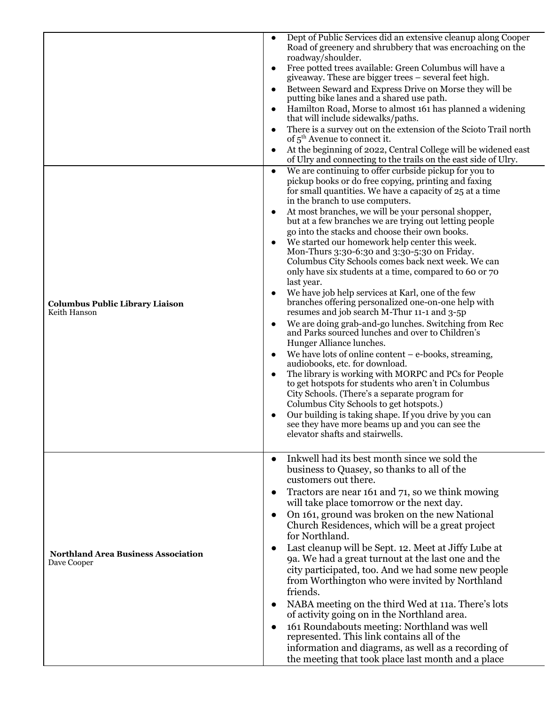| <b>Columbus Public Library Liaison</b><br>Keith Hanson    | Dept of Public Services did an extensive cleanup along Cooper<br>$\bullet$<br>Road of greenery and shrubbery that was encroaching on the<br>roadway/shoulder.<br>Free potted trees available: Green Columbus will have a<br>$\bullet$<br>give away. These are bigger trees – several feet high.<br>Between Seward and Express Drive on Morse they will be<br>putting bike lanes and a shared use path.<br>Hamilton Road, Morse to almost 161 has planned a widening<br>that will include sidewalks/paths.<br>There is a survey out on the extension of the Scioto Trail north<br>$\bullet$<br>of $5^{\text{th}}$ Avenue to connect it.<br>At the beginning of 2022, Central College will be widened east<br>of Ulry and connecting to the trails on the east side of Ulry.<br>We are continuing to offer curbside pickup for you to<br>$\bullet$<br>pickup books or do free copying, printing and faxing<br>for small quantities. We have a capacity of 25 at a time<br>in the branch to use computers.<br>At most branches, we will be your personal shopper,<br>but at a few branches we are trying out letting people<br>go into the stacks and choose their own books.<br>We started our homework help center this week.<br>Mon-Thurs 3:30-6:30 and 3:30-5:30 on Friday.<br>Columbus City Schools comes back next week. We can<br>only have six students at a time, compared to 60 or 70<br>last year.<br>We have job help services at Karl, one of the few<br>branches offering personalized one-on-one help with<br>resumes and job search M-Thur 11-1 and 3-5p<br>We are doing grab-and-go lunches. Switching from Rec<br>٠<br>and Parks sourced lunches and over to Children's<br>Hunger Alliance lunches.<br>We have lots of online content $-e$ -books, streaming,<br>$\bullet$<br>audiobooks, etc. for download.<br>The library is working with MORPC and PCs for People<br>to get hotspots for students who aren't in Columbus<br>City Schools. (There's a separate program for<br>Columbus City Schools to get hotspots.)<br>Our building is taking shape. If you drive by you can |
|-----------------------------------------------------------|-------------------------------------------------------------------------------------------------------------------------------------------------------------------------------------------------------------------------------------------------------------------------------------------------------------------------------------------------------------------------------------------------------------------------------------------------------------------------------------------------------------------------------------------------------------------------------------------------------------------------------------------------------------------------------------------------------------------------------------------------------------------------------------------------------------------------------------------------------------------------------------------------------------------------------------------------------------------------------------------------------------------------------------------------------------------------------------------------------------------------------------------------------------------------------------------------------------------------------------------------------------------------------------------------------------------------------------------------------------------------------------------------------------------------------------------------------------------------------------------------------------------------------------------------------------------------------------------------------------------------------------------------------------------------------------------------------------------------------------------------------------------------------------------------------------------------------------------------------------------------------------------------------------------------------------------------------------------------------------------------------------------------------------------------------------------------------------------------|
|                                                           | see they have more beams up and you can see the<br>elevator shafts and stairwells.                                                                                                                                                                                                                                                                                                                                                                                                                                                                                                                                                                                                                                                                                                                                                                                                                                                                                                                                                                                                                                                                                                                                                                                                                                                                                                                                                                                                                                                                                                                                                                                                                                                                                                                                                                                                                                                                                                                                                                                                              |
| <b>Northland Area Business Association</b><br>Dave Cooper | Inkwell had its best month since we sold the<br>business to Quasey, so thanks to all of the<br>customers out there.<br>Tractors are near 161 and 71, so we think mowing<br>will take place tomorrow or the next day.<br>On 161, ground was broken on the new National<br>Church Residences, which will be a great project<br>for Northland.<br>Last cleanup will be Sept. 12. Meet at Jiffy Lube at<br>9a. We had a great turnout at the last one and the<br>city participated, too. And we had some new people<br>from Worthington who were invited by Northland<br>friends.<br>NABA meeting on the third Wed at 11a. There's lots<br>$\bullet$<br>of activity going on in the Northland area.<br>161 Roundabouts meeting: Northland was well<br>$\bullet$<br>represented. This link contains all of the<br>information and diagrams, as well as a recording of<br>the meeting that took place last month and a place                                                                                                                                                                                                                                                                                                                                                                                                                                                                                                                                                                                                                                                                                                                                                                                                                                                                                                                                                                                                                                                                                                                                                                          |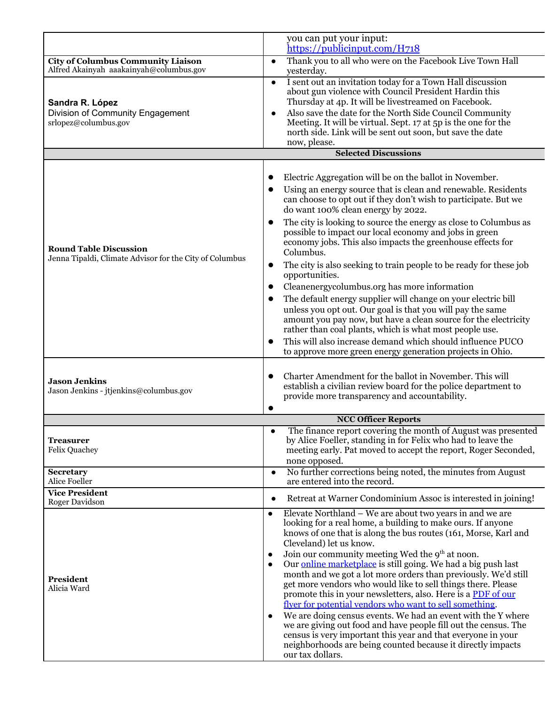|                                                                                          | you can put your input:<br>https://publicinput.com/H718                                                                                                                                                                                                                                                                                                                                                                                                                                                                                                                                                                                                                                                                                                                                                                                                                                                                                  |
|------------------------------------------------------------------------------------------|------------------------------------------------------------------------------------------------------------------------------------------------------------------------------------------------------------------------------------------------------------------------------------------------------------------------------------------------------------------------------------------------------------------------------------------------------------------------------------------------------------------------------------------------------------------------------------------------------------------------------------------------------------------------------------------------------------------------------------------------------------------------------------------------------------------------------------------------------------------------------------------------------------------------------------------|
| <b>City of Columbus Community Liaison</b><br>Alfred Akainyah aaakainyah@columbus.gov     | Thank you to all who were on the Facebook Live Town Hall<br>$\bullet$<br>yesterday.                                                                                                                                                                                                                                                                                                                                                                                                                                                                                                                                                                                                                                                                                                                                                                                                                                                      |
| Sandra R. López<br>Division of Community Engagement<br>srlopez@columbus.gov              | I sent out an invitation today for a Town Hall discussion<br>$\bullet$<br>about gun violence with Council President Hardin this<br>Thursday at 4p. It will be livestreamed on Facebook.<br>Also save the date for the North Side Council Community<br>$\bullet$<br>Meeting. It will be virtual. Sept. 17 at 5p is the one for the<br>north side. Link will be sent out soon, but save the date<br>now, please.                                                                                                                                                                                                                                                                                                                                                                                                                                                                                                                           |
|                                                                                          | <b>Selected Discussions</b>                                                                                                                                                                                                                                                                                                                                                                                                                                                                                                                                                                                                                                                                                                                                                                                                                                                                                                              |
|                                                                                          | Electric Aggregation will be on the ballot in November.<br>Using an energy source that is clean and renewable. Residents<br>can choose to opt out if they don't wish to participate. But we<br>do want 100% clean energy by 2022.<br>The city is looking to source the energy as close to Columbus as<br>$\bullet$<br>possible to impact our local economy and jobs in green<br>economy jobs. This also impacts the greenhouse effects for                                                                                                                                                                                                                                                                                                                                                                                                                                                                                               |
| <b>Round Table Discussion</b><br>Jenna Tipaldi, Climate Advisor for the City of Columbus | Columbus.<br>The city is also seeking to train people to be ready for these job<br>$\bullet$<br>opportunities.<br>Cleanenergy columbus.org has more information<br>$\bullet$<br>The default energy supplier will change on your electric bill<br>unless you opt out. Our goal is that you will pay the same<br>amount you pay now, but have a clean source for the electricity<br>rather than coal plants, which is what most people use.<br>This will also increase demand which should influence PUCO<br>to approve more green energy generation projects in Ohio.                                                                                                                                                                                                                                                                                                                                                                     |
| <b>Jason Jenkins</b><br>Jason Jenkins - jtjenkins@columbus.gov                           | Charter Amendment for the ballot in November. This will<br>establish a civilian review board for the police department to<br>provide more transparency and accountability.                                                                                                                                                                                                                                                                                                                                                                                                                                                                                                                                                                                                                                                                                                                                                               |
|                                                                                          | <b>NCC Officer Reports</b>                                                                                                                                                                                                                                                                                                                                                                                                                                                                                                                                                                                                                                                                                                                                                                                                                                                                                                               |
| <b>Treasurer</b><br><b>Felix Quachey</b>                                                 | The finance report covering the month of August was presented<br>by Alice Foeller, standing in for Felix who had to leave the<br>meeting early. Pat moved to accept the report, Roger Seconded,<br>none opposed.                                                                                                                                                                                                                                                                                                                                                                                                                                                                                                                                                                                                                                                                                                                         |
| <b>Secretary</b><br>Alice Foeller                                                        | No further corrections being noted, the minutes from August<br>$\bullet$<br>are entered into the record.                                                                                                                                                                                                                                                                                                                                                                                                                                                                                                                                                                                                                                                                                                                                                                                                                                 |
| <b>Vice President</b><br>Roger Davidson                                                  | Retreat at Warner Condominium Assoc is interested in joining!<br>$\bullet$                                                                                                                                                                                                                                                                                                                                                                                                                                                                                                                                                                                                                                                                                                                                                                                                                                                               |
| President<br>Alicia Ward                                                                 | Elevate Northland – We are about two years in and we are<br>$\bullet$<br>looking for a real home, a building to make ours. If anyone<br>knows of one that is along the bus routes (161, Morse, Karl and<br>Cleveland) let us know.<br>Join our community meeting Wed the 9 <sup>th</sup> at noon.<br>$\bullet$<br>Our online marketplace is still going. We had a big push last<br>$\bullet$<br>month and we got a lot more orders than previously. We'd still<br>get more vendors who would like to sell things there. Please<br>promote this in your newsletters, also. Here is a PDF of our<br>flyer for potential vendors who want to sell something.<br>We are doing census events. We had an event with the Y where<br>$\bullet$<br>we are giving out food and have people fill out the census. The<br>census is very important this year and that everyone in your<br>neighborhoods are being counted because it directly impacts |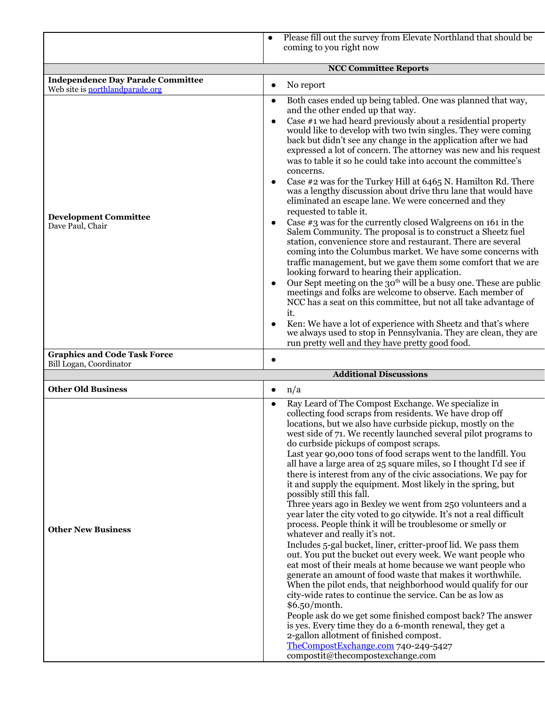|                                                                             | Please fill out the survey from Elevate Northland that should be<br>coming to you right now                                                                                                                                                                                                                                                                                                                                                                                                                                                                                                                                                                                                                                                                                                                                                                                                                                                                                                                                                                                                                                                                                                                                                                                                                                                                                                                                                                                                                           |
|-----------------------------------------------------------------------------|-----------------------------------------------------------------------------------------------------------------------------------------------------------------------------------------------------------------------------------------------------------------------------------------------------------------------------------------------------------------------------------------------------------------------------------------------------------------------------------------------------------------------------------------------------------------------------------------------------------------------------------------------------------------------------------------------------------------------------------------------------------------------------------------------------------------------------------------------------------------------------------------------------------------------------------------------------------------------------------------------------------------------------------------------------------------------------------------------------------------------------------------------------------------------------------------------------------------------------------------------------------------------------------------------------------------------------------------------------------------------------------------------------------------------------------------------------------------------------------------------------------------------|
|                                                                             | <b>NCC Committee Reports</b>                                                                                                                                                                                                                                                                                                                                                                                                                                                                                                                                                                                                                                                                                                                                                                                                                                                                                                                                                                                                                                                                                                                                                                                                                                                                                                                                                                                                                                                                                          |
| <b>Independence Day Parade Committee</b><br>Web site is northlandparade.org | No report<br>$\bullet$                                                                                                                                                                                                                                                                                                                                                                                                                                                                                                                                                                                                                                                                                                                                                                                                                                                                                                                                                                                                                                                                                                                                                                                                                                                                                                                                                                                                                                                                                                |
| <b>Development Committee</b><br>Dave Paul, Chair                            | Both cases ended up being tabled. One was planned that way,<br>$\bullet$<br>and the other ended up that way.<br>Case #1 we had heard previously about a residential property<br>would like to develop with two twin singles. They were coming<br>back but didn't see any change in the application after we had<br>expressed a lot of concern. The attorney was new and his request<br>was to table it so he could take into account the committee's<br>concerns.<br>Case #2 was for the Turkey Hill at 6465 N. Hamilton Rd. There<br>$\bullet$<br>was a lengthy discussion about drive thru lane that would have<br>eliminated an escape lane. We were concerned and they<br>requested to table it.<br>Case $\#$ 3 was for the currently closed Walgreens on 161 in the<br>Salem Community. The proposal is to construct a Sheetz fuel<br>station, convenience store and restaurant. There are several<br>coming into the Columbus market. We have some concerns with<br>traffic management, but we gave them some comfort that we are<br>looking forward to hearing their application.<br>Our Sept meeting on the 30 <sup>th</sup> will be a busy one. These are public<br>$\bullet$<br>meetings and folks are welcome to observe. Each member of<br>NCC has a seat on this committee, but not all take advantage of<br>it.<br>Ken: We have a lot of experience with Sheetz and that's where<br>we always used to stop in Pennsylvania. They are clean, they are<br>run pretty well and they have pretty good food. |
| <b>Graphics and Code Task Force</b><br>Bill Logan, Coordinator              |                                                                                                                                                                                                                                                                                                                                                                                                                                                                                                                                                                                                                                                                                                                                                                                                                                                                                                                                                                                                                                                                                                                                                                                                                                                                                                                                                                                                                                                                                                                       |
|                                                                             | <b>Additional Discussions</b>                                                                                                                                                                                                                                                                                                                                                                                                                                                                                                                                                                                                                                                                                                                                                                                                                                                                                                                                                                                                                                                                                                                                                                                                                                                                                                                                                                                                                                                                                         |
| <b>Other Old Business</b>                                                   | n/a<br>$\bullet$                                                                                                                                                                                                                                                                                                                                                                                                                                                                                                                                                                                                                                                                                                                                                                                                                                                                                                                                                                                                                                                                                                                                                                                                                                                                                                                                                                                                                                                                                                      |
|                                                                             | Ray Leard of The Compost Exchange. We specialize in<br>$\bullet$<br>collecting food scraps from residents. We have drop off<br>locations, but we also have curbside pickup, mostly on the<br>west side of 71. We recently launched several pilot programs to<br>do curbside pickups of compost scraps.<br>Last year 00,000 tons of food scraps went to the landfill Vou                                                                                                                                                                                                                                                                                                                                                                                                                                                                                                                                                                                                                                                                                                                                                                                                                                                                                                                                                                                                                                                                                                                                               |

|                           | locations, but we also have curbside pickup, mostly on the<br>west side of 71. We recently launched several pilot programs to                                                                                                                                                                                                                                                                                                                                                                                                                    |
|---------------------------|--------------------------------------------------------------------------------------------------------------------------------------------------------------------------------------------------------------------------------------------------------------------------------------------------------------------------------------------------------------------------------------------------------------------------------------------------------------------------------------------------------------------------------------------------|
|                           | do curbside pickups of compost scraps.<br>Last year 90,000 tons of food scraps went to the landfill. You<br>all have a large area of 25 square miles, so I thought I'd see if<br>there is interest from any of the civic associations. We pay for<br>it and supply the equipment. Most likely in the spring, but<br>possibly still this fall.<br>Three years ago in Bexley we went from 250 volunteers and a<br>year later the city voted to go citywide. It's not a real difficult<br>process. People think it will be troublesome or smelly or |
| <b>Other New Business</b> | whatever and really it's not.<br>Includes 5-gal bucket, liner, critter-proof lid. We pass them<br>out. You put the bucket out every week. We want people who<br>eat most of their meals at home because we want people who<br>generate an amount of food waste that makes it worthwhile.<br>When the pilot ends, that neighborhood would qualify for our<br>city-wide rates to continue the service. Can be as low as<br>\$6.50/month.                                                                                                           |
|                           | People ask do we get some finished compost back? The answer<br>is yes. Every time they do a 6-month renewal, they get a<br>2-gallon allotment of finished compost.<br>TheCompostExchange.com 740-249-5427<br>compostit@thecompostexchange.com                                                                                                                                                                                                                                                                                                    |